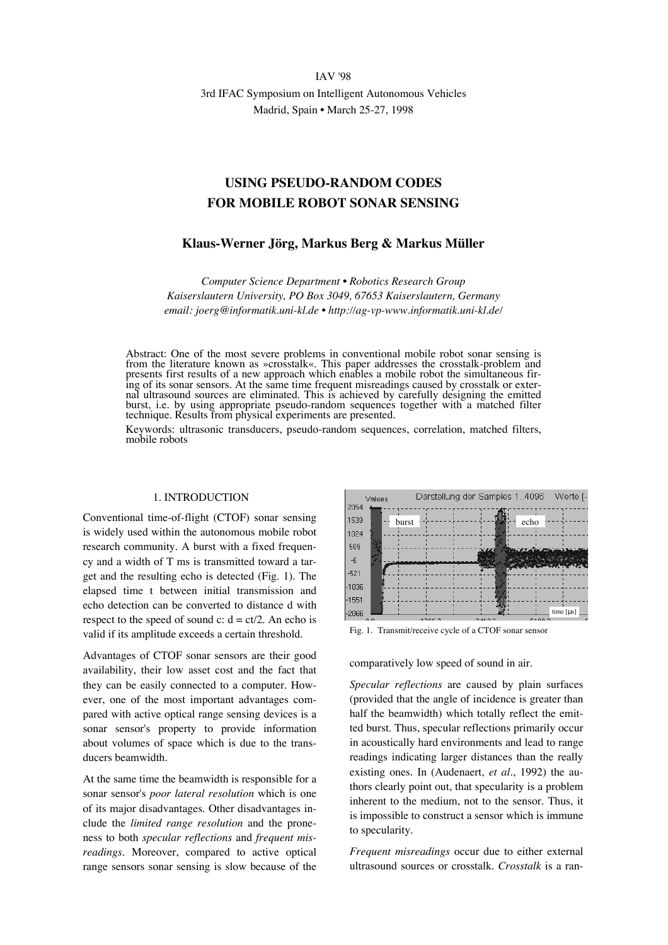IAV '98 3rd IFAC Symposium on Intelligent Autonomous Vehicles

Madrid, Spain • March 25-27, 1998

# **USING PSEUDO-RANDOM CODES FOR MOBILE ROBOT SONAR SENSING**

# **Klaus-Werner Jörg, Markus Berg & Markus Müller**

*Computer Science Department • Robotics Research Group Kaiserslautern University, PO Box 3049, 67653 Kaiserslautern, Germany email: joerg@informatik.uni-kl.de • http://ag-vp-www.informatik.uni-kl.de/*

Abstract: One of the most severe problems in conventional mobile robot sonar sensing is from the literature known as »crosstalk«. This paper addresses the crosstalk-problem and presents first results of a new approach which enables a mobile robot the simultaneous firing of its sonar sensors. At the same time frequent misreadings caused by crosstalk or external ultrasound sources are eliminated. This is achieved by carefully designing the emitted burst, i.e. by using appropriate pseudo-random sequences together with a matched filter technique. Results from physical experiments are presented.

Keywords: ultrasonic transducers, pseudo-random sequences, correlation, matched filters, mobile robots

## 1. INTRODUCTION

Conventional time-of-flight (CTOF) sonar sensing is widely used within the autonomous mobile robot research community. A burst with a fixed frequency and a width of T ms is transmitted toward a target and the resulting echo is detected (Fig. 1). The elapsed time t between initial transmission and echo detection can be converted to distance d with respect to the speed of sound c:  $d = ct/2$ . An echo is valid if its amplitude exceeds a certain threshold.

Advantages of CTOF sonar sensors are their good availability, their low asset cost and the fact that they can be easily connected to a computer. However, one of the most important advantages compared with active optical range sensing devices is a sonar sensor's property to provide information about volumes of space which is due to the transducers beamwidth.

At the same time the beamwidth is responsible for a sonar sensor's *poor lateral resolution* which is one of its major disadvantages. Other disadvantages include the *limited range resolution* and the proneness to both *specular reflections* and *frequent misreadings.* Moreover, compared to active optical range sensors sonar sensing is slow because of the



Fig. 1. Transmit/receive cycle of a CTOF sonar sensor

comparatively low speed of sound in air.

*Specular reflections* are caused by plain surfaces (provided that the angle of incidence is greater than half the beamwidth) which totally reflect the emitted burst. Thus, specular reflections primarily occur in acoustically hard environments and lead to range readings indicating larger distances than the really existing ones. In (Audenaert, *et al*., 1992) the authors clearly point out, that specularity is a problem inherent to the medium, not to the sensor. Thus, it is impossible to construct a sensor which is immune to specularity.

*Frequent misreadings* occur due to either external ultrasound sources or crosstalk. *Crosstalk* is a ran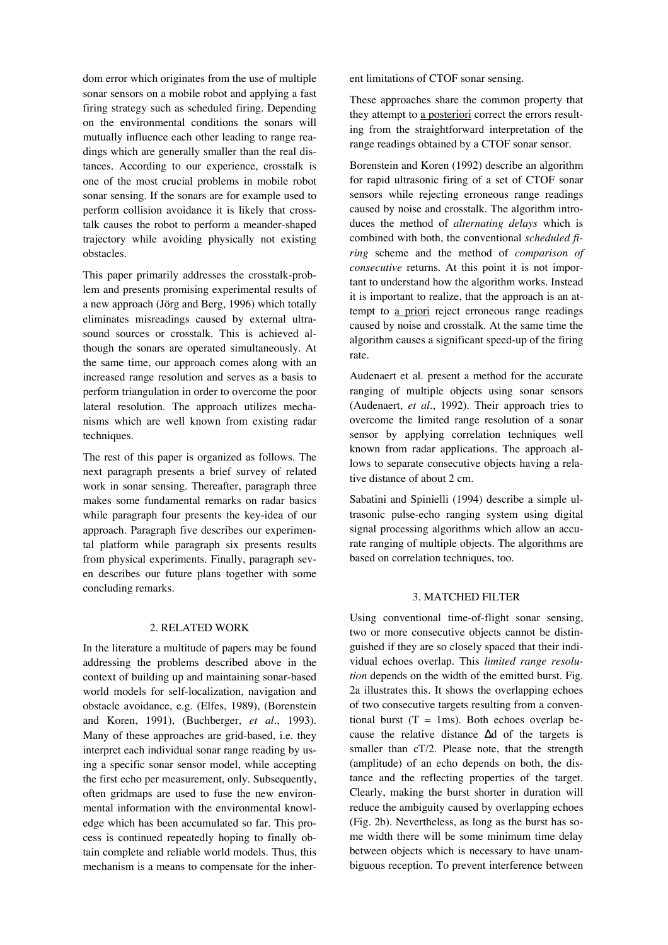dom error which originates from the use of multiple sonar sensors on a mobile robot and applying a fast firing strategy such as scheduled firing. Depending on the environmental conditions the sonars will mutually influence each other leading to range readings which are generally smaller than the real distances. According to our experience, crosstalk is one of the most crucial problems in mobile robot sonar sensing. If the sonars are for example used to perform collision avoidance it is likely that crosstalk causes the robot to perform a meander-shaped trajectory while avoiding physically not existing obstacles.

This paper primarily addresses the crosstalk-problem and presents promising experimental results of a new approach (Jörg and Berg, 1996) which totally eliminates misreadings caused by external ultrasound sources or crosstalk. This is achieved although the sonars are operated simultaneously. At the same time, our approach comes along with an increased range resolution and serves as a basis to perform triangulation in order to overcome the poor lateral resolution. The approach utilizes mechanisms which are well known from existing radar techniques.

The rest of this paper is organized as follows. The next paragraph presents a brief survey of related work in sonar sensing. Thereafter, paragraph three makes some fundamental remarks on radar basics while paragraph four presents the key-idea of our approach. Paragraph five describes our experimental platform while paragraph six presents results from physical experiments. Finally, paragraph seven describes our future plans together with some concluding remarks.

#### 2. RELATED WORK

In the literature a multitude of papers may be found addressing the problems described above in the context of building up and maintaining sonar-based world models for self-localization, navigation and obstacle avoidance, e.g. (Elfes, 1989), (Borenstein and Koren, 1991), (Buchberger, *et al*., 1993). Many of these approaches are grid-based, i.e. they interpret each individual sonar range reading by using a specific sonar sensor model, while accepting the first echo per measurement, only. Subsequently, often gridmaps are used to fuse the new environmental information with the environmental knowledge which has been accumulated so far. This process is continued repeatedly hoping to finally obtain complete and reliable world models. Thus, this mechanism is a means to compensate for the inherent limitations of CTOF sonar sensing.

These approaches share the common property that they attempt to a posteriori correct the errors resulting from the straightforward interpretation of the range readings obtained by a CTOF sonar sensor.

Borenstein and Koren (1992) describe an algorithm for rapid ultrasonic firing of a set of CTOF sonar sensors while rejecting erroneous range readings caused by noise and crosstalk. The algorithm introduces the method of *alternating delays* which is combined with both, the conventional *scheduled firing* scheme and the method of *comparison of consecutive* returns. At this point it is not important to understand how the algorithm works. Instead it is important to realize, that the approach is an attempt to a priori reject erroneous range readings caused by noise and crosstalk. At the same time the algorithm causes a significant speed-up of the firing rate.

Audenaert et al. present a method for the accurate ranging of multiple objects using sonar sensors (Audenaert, *et al*., 1992). Their approach tries to overcome the limited range resolution of a sonar sensor by applying correlation techniques well known from radar applications. The approach allows to separate consecutive objects having a relative distance of about 2 cm.

Sabatini and Spinielli (1994) describe a simple ultrasonic pulse-echo ranging system using digital signal processing algorithms which allow an accurate ranging of multiple objects. The algorithms are based on correlation techniques, too.

# 3. MATCHED FILTER

Using conventional time-of-flight sonar sensing, two or more consecutive objects cannot be distinguished if they are so closely spaced that their individual echoes overlap. This *limited range resolution* depends on the width of the emitted burst. Fig. 2a illustrates this. It shows the overlapping echoes of two consecutive targets resulting from a conventional burst  $(T = 1ms)$ . Both echoes overlap because the relative distance ∆d of the targets is smaller than cT/2. Please note, that the strength (amplitude) of an echo depends on both, the distance and the reflecting properties of the target. Clearly, making the burst shorter in duration will reduce the ambiguity caused by overlapping echoes (Fig. 2b). Nevertheless, as long as the burst has some width there will be some minimum time delay between objects which is necessary to have unambiguous reception. To prevent interference between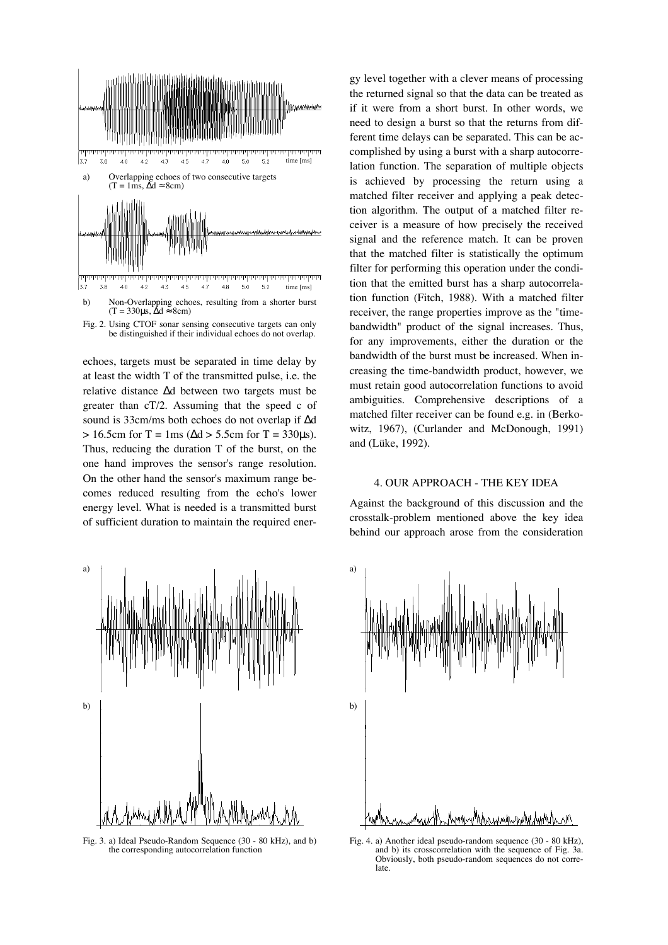



echoes, targets must be separated in time delay by at least the width T of the transmitted pulse, i.e. the relative distance ∆d between two targets must be greater than cT/2. Assuming that the speed c of sound is 33cm/ms both echoes do not overlap if ∆d  $> 16.5$ cm for T = 1ms ( $\Delta d > 5.5$ cm for T = 330 $\mu$ s). Thus, reducing the duration T of the burst, on the one hand improves the sensor's range resolution. On the other hand the sensor's maximum range becomes reduced resulting from the echo's lower energy level. What is needed is a transmitted burst of sufficient duration to maintain the required ener-



Fig. 3. a) Ideal Pseudo-Random Sequence (30 - 80 kHz), and b) the corresponding autocorrelation function

gy level together with a clever means of processing the returned signal so that the data can be treated as if it were from a short burst. In other words, we need to design a burst so that the returns from different time delays can be separated. This can be accomplished by using a burst with a sharp autocorrelation function. The separation of multiple objects is achieved by processing the return using a matched filter receiver and applying a peak detection algorithm. The output of a matched filter receiver is a measure of how precisely the received signal and the reference match. It can be proven that the matched filter is statistically the optimum filter for performing this operation under the condition that the emitted burst has a sharp autocorrelation function (Fitch, 1988). With a matched filter receiver, the range properties improve as the "timebandwidth" product of the signal increases. Thus, for any improvements, either the duration or the bandwidth of the burst must be increased. When increasing the time-bandwidth product, however, we must retain good autocorrelation functions to avoid ambiguities. Comprehensive descriptions of a matched filter receiver can be found e.g. in (Berkowitz, 1967), (Curlander and McDonough, 1991) and (Lüke, 1992).

#### 4. OUR APPROACH - THE KEY IDEA

Against the background of this discussion and the crosstalk-problem mentioned above the key idea behind our approach arose from the consideration



Fig. 4. a) Another ideal pseudo-random sequence (30 - 80 kHz), and b) its crosscorrelation with the sequence of Fig. 3a. Obviously, both pseudo-random sequences do not correlate.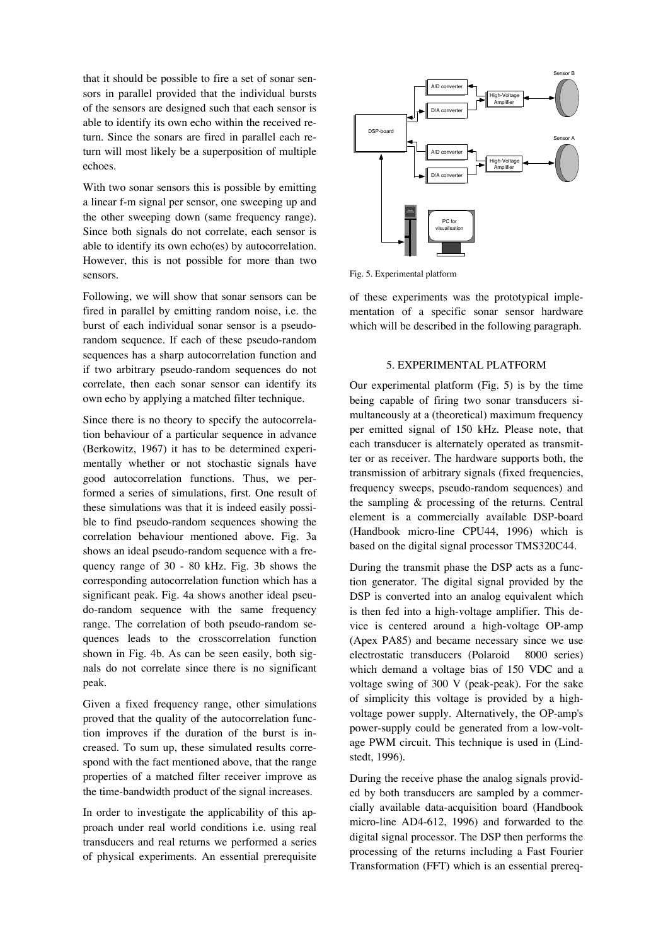that it should be possible to fire a set of sonar sensors in parallel provided that the individual bursts of the sensors are designed such that each sensor is able to identify its own echo within the received return. Since the sonars are fired in parallel each return will most likely be a superposition of multiple echoes.

With two sonar sensors this is possible by emitting a linear f-m signal per sensor, one sweeping up and the other sweeping down (same frequency range). Since both signals do not correlate, each sensor is able to identify its own echo(es) by autocorrelation. However, this is not possible for more than two sensors.

Following, we will show that sonar sensors can be fired in parallel by emitting random noise, i.e. the burst of each individual sonar sensor is a pseudorandom sequence. If each of these pseudo-random sequences has a sharp autocorrelation function and if two arbitrary pseudo-random sequences do not correlate, then each sonar sensor can identify its own echo by applying a matched filter technique.

Since there is no theory to specify the autocorrelation behaviour of a particular sequence in advance (Berkowitz, 1967) it has to be determined experimentally whether or not stochastic signals have good autocorrelation functions. Thus, we performed a series of simulations, first. One result of these simulations was that it is indeed easily possible to find pseudo-random sequences showing the correlation behaviour mentioned above. Fig. 3a shows an ideal pseudo-random sequence with a frequency range of 30 - 80 kHz. Fig. 3b shows the corresponding autocorrelation function which has a significant peak. Fig. 4a shows another ideal pseudo-random sequence with the same frequency range. The correlation of both pseudo-random sequences leads to the crosscorrelation function shown in Fig. 4b. As can be seen easily, both signals do not correlate since there is no significant peak.

Given a fixed frequency range, other simulations proved that the quality of the autocorrelation function improves if the duration of the burst is increased. To sum up, these simulated results correspond with the fact mentioned above, that the range properties of a matched filter receiver improve as the time-bandwidth product of the signal increases.

In order to investigate the applicability of this approach under real world conditions i.e. using real transducers and real returns we performed a series of physical experiments. An essential prerequisite



Fig. 5. Experimental platform

of these experiments was the prototypical implementation of a specific sonar sensor hardware which will be described in the following paragraph.

# 5. EXPERIMENTAL PLATFORM

Our experimental platform (Fig. 5) is by the time being capable of firing two sonar transducers simultaneously at a (theoretical) maximum frequency per emitted signal of 150 kHz. Please note, that each transducer is alternately operated as transmitter or as receiver. The hardware supports both, the transmission of arbitrary signals (fixed frequencies, frequency sweeps, pseudo-random sequences) and the sampling & processing of the returns. Central element is a commercially available DSP-board (Handbook micro-line CPU44, 1996) which is based on the digital signal processor TMS320C44.

During the transmit phase the DSP acts as a function generator. The digital signal provided by the DSP is converted into an analog equivalent which is then fed into a high-voltage amplifier. This device is centered around a high-voltage OP-amp (Apex PA85) and became necessary since we use electrostatic transducers (Polaroid<sup>®</sup> 8000 series) which demand a voltage bias of 150 VDC and a voltage swing of 300 V (peak-peak). For the sake of simplicity this voltage is provided by a highvoltage power supply. Alternatively, the OP-amp's power-supply could be generated from a low-voltage PWM circuit. This technique is used in (Lindstedt, 1996).

During the receive phase the analog signals provided by both transducers are sampled by a commercially available data-acquisition board (Handbook micro-line AD4-612, 1996) and forwarded to the digital signal processor. The DSP then performs the processing of the returns including a Fast Fourier Transformation (FFT) which is an essential prereq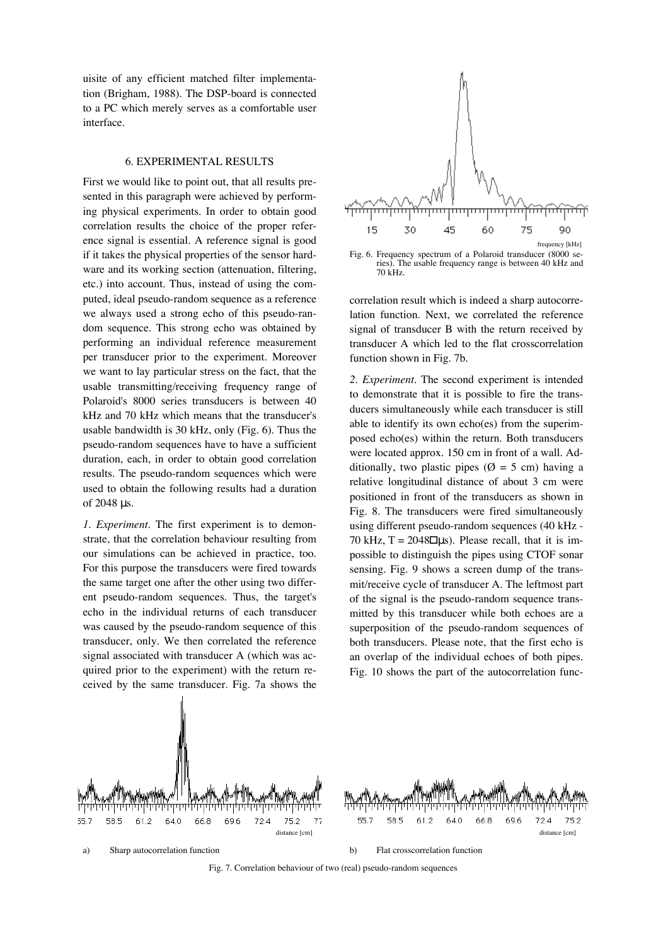uisite of any efficient matched filter implementation (Brigham, 1988). The DSP-board is connected to a PC which merely serves as a comfortable user interface.

### 6. EXPERIMENTAL RESULTS

First we would like to point out, that all results presented in this paragraph were achieved by performing physical experiments. In order to obtain good correlation results the choice of the proper reference signal is essential. A reference signal is good if it takes the physical properties of the sensor hardware and its working section (attenuation, filtering, etc.) into account. Thus, instead of using the computed, ideal pseudo-random sequence as a reference we always used a strong echo of this pseudo-random sequence. This strong echo was obtained by performing an individual reference measurement per transducer prior to the experiment. Moreover we want to lay particular stress on the fact, that the usable transmitting/receiving frequency range of Polaroid's 8000 series transducers is between 40 kHz and 70 kHz which means that the transducer's usable bandwidth is 30 kHz, only (Fig. 6). Thus the pseudo-random sequences have to have a sufficient duration, each, in order to obtain good correlation results. The pseudo-random sequences which were used to obtain the following results had a duration of 2048 µs.

*1. Experiment*. The first experiment is to demonstrate, that the correlation behaviour resulting from our simulations can be achieved in practice, too. For this purpose the transducers were fired towards the same target one after the other using two different pseudo-random sequences. Thus, the target's echo in the individual returns of each transducer was caused by the pseudo-random sequence of this transducer, only. We then correlated the reference signal associated with transducer A (which was acquired prior to the experiment) with the return received by the same transducer. Fig. 7a shows the





correlation result which is indeed a sharp autocorrelation function. Next, we correlated the reference signal of transducer B with the return received by transducer A which led to the flat crosscorrelation function shown in Fig. 7b.

*2. Experiment*. The second experiment is intended to demonstrate that it is possible to fire the transducers simultaneously while each transducer is still able to identify its own echo(es) from the superimposed echo(es) within the return. Both transducers were located approx. 150 cm in front of a wall. Additionally, two plastic pipes ( $\emptyset = 5$  cm) having a relative longitudinal distance of about 3 cm were positioned in front of the transducers as shown in Fig. 8. The transducers were fired simultaneously using different pseudo-random sequences (40 kHz - 70 kHz,  $T = 2048$  µs). Please recall, that it is impossible to distinguish the pipes using CTOF sonar sensing. Fig. 9 shows a screen dump of the transmit/receive cycle of transducer A. The leftmost part of the signal is the pseudo-random sequence transmitted by this transducer while both echoes are a superposition of the pseudo-random sequences of both transducers. Please note, that the first echo is an overlap of the individual echoes of both pipes. Fig. 10 shows the part of the autocorrelation func-



Fig. 7. Correlation behaviour of two (real) pseudo-random sequences